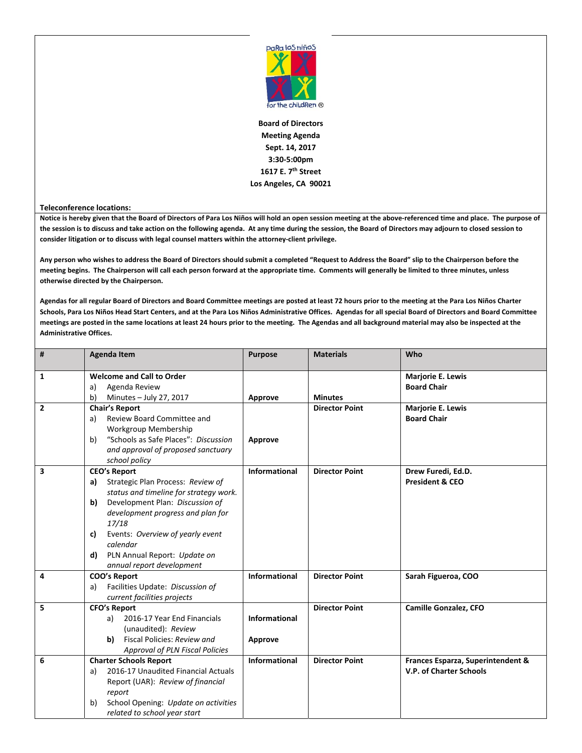

**Board of Directors Meeting Agenda Sept. 14, 2017 3:30‐5:00pm 1617 E. 7th Street Los Angeles, CA 90021**

## **Teleconference locations:**

Notice is hereby given that the Board of Directors of Para Los Niños will hold an open session meeting at the above-referenced time and place. The purpose of the session is to discuss and take action on the following agenda. At any time during the session, the Board of Directors may adjourn to closed session to **consider litigation or to discuss with legal counsel matters within the attorney‐client privilege.**

Any person who wishes to address the Board of Directors should submit a completed "Request to Address the Board" slip to the Chairperson before the meeting begins. The Chairperson will call each person forward at the appropriate time. Comments will generally be limited to three minutes, unless **otherwise directed by the Chairperson.**

Agendas for all regular Board of Directors and Board Committee meetings are posted at least 72 hours prior to the meeting at the Para Los Niños Charter Schools, Para Los Niños Head Start Centers, and at the Para Los Niños Administrative Offices. Agendas for all special Board of Directors and Board Committee meetings are posted in the same locations at least 24 hours prior to the meeting. The Agendas and all background material may also be inspected at the **Administrative Offices.**

| #            | <b>Agenda Item</b>                                                                                                                                                                                                                                                                                                       | <b>Purpose</b>                  | <b>Materials</b>      | Who                                                          |
|--------------|--------------------------------------------------------------------------------------------------------------------------------------------------------------------------------------------------------------------------------------------------------------------------------------------------------------------------|---------------------------------|-----------------------|--------------------------------------------------------------|
| 1            | <b>Welcome and Call to Order</b><br>Agenda Review<br>a)<br>b)<br>Minutes - July 27, 2017                                                                                                                                                                                                                                 | Approve                         | <b>Minutes</b>        | <b>Marjorie E. Lewis</b><br><b>Board Chair</b>               |
| $\mathbf{2}$ | <b>Chair's Report</b><br>Review Board Committee and<br>a)<br>Workgroup Membership<br>"Schools as Safe Places": Discussion<br>b)<br>and approval of proposed sanctuary<br>school policy                                                                                                                                   | Approve                         | <b>Director Point</b> | <b>Marjorie E. Lewis</b><br><b>Board Chair</b>               |
| 3            | <b>CEO's Report</b><br>Strategic Plan Process: Review of<br>a)<br>status and timeline for strategy work.<br>Development Plan: Discussion of<br>b)<br>development progress and plan for<br>17/18<br>Events: Overview of yearly event<br>c)<br>calendar<br>PLN Annual Report: Update on<br>d)<br>annual report development | <b>Informational</b>            | <b>Director Point</b> | Drew Furedi, Ed.D.<br><b>President &amp; CEO</b>             |
| 4            | <b>COO's Report</b><br>Facilities Update: Discussion of<br>a)<br>current facilities projects                                                                                                                                                                                                                             | Informational                   | <b>Director Point</b> | Sarah Figueroa, COO                                          |
| 5            | <b>CFO's Report</b><br>2016-17 Year End Financials<br>a)<br>(unaudited): Review<br>Fiscal Policies: Review and<br>b)<br><b>Approval of PLN Fiscal Policies</b>                                                                                                                                                           | <b>Informational</b><br>Approve | <b>Director Point</b> | Camille Gonzalez, CFO                                        |
| 6            | <b>Charter Schools Report</b><br>2016-17 Unaudited Financial Actuals<br>a)<br>Report (UAR): Review of financial<br>report<br>School Opening: Update on activities<br>b)<br>related to school year start                                                                                                                  | <b>Informational</b>            | <b>Director Point</b> | Frances Esparza, Superintendent &<br>V.P. of Charter Schools |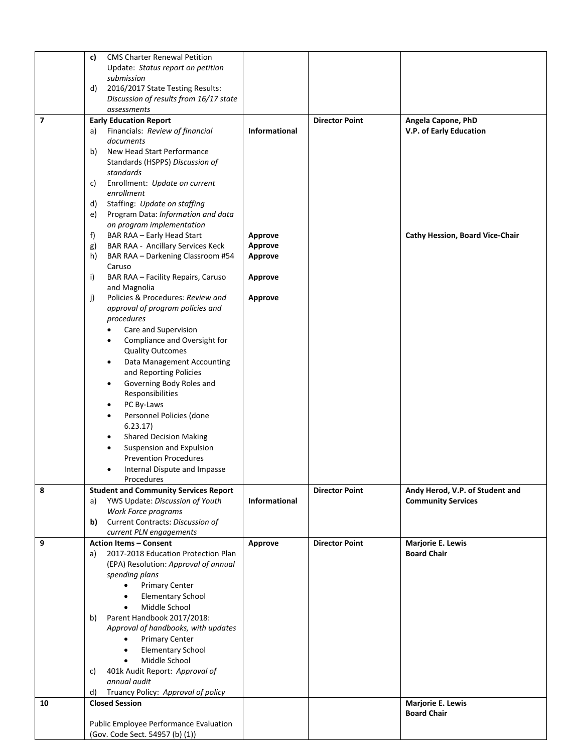|                |          | Public Employee Performance Evaluation<br>(Gov. Code Sect. 54957 (b) (1))   |                           |                       |                                                |
|----------------|----------|-----------------------------------------------------------------------------|---------------------------|-----------------------|------------------------------------------------|
| 10             |          | <b>Closed Session</b>                                                       |                           |                       | <b>Marjorie E. Lewis</b><br><b>Board Chair</b> |
|                | d)       | Truancy Policy: Approval of policy                                          |                           |                       |                                                |
|                |          | annual audit                                                                |                           |                       |                                                |
|                | C)       | 401k Audit Report: Approval of                                              |                           |                       |                                                |
|                |          | Middle School<br>$\bullet$                                                  |                           |                       |                                                |
|                |          | <b>Primary Center</b><br>$\bullet$<br><b>Elementary School</b><br>$\bullet$ |                           |                       |                                                |
|                |          | Approval of handbooks, with updates                                         |                           |                       |                                                |
|                | b)       | Parent Handbook 2017/2018:                                                  |                           |                       |                                                |
|                |          | Middle School                                                               |                           |                       |                                                |
|                |          | <b>Elementary School</b>                                                    |                           |                       |                                                |
|                |          | <b>Primary Center</b>                                                       |                           |                       |                                                |
|                |          | (EPA) Resolution: Approval of annual<br>spending plans                      |                           |                       |                                                |
|                | a)       | 2017-2018 Education Protection Plan                                         |                           |                       | <b>Board Chair</b>                             |
| 9              |          | <b>Action Items - Consent</b>                                               | Approve                   | <b>Director Point</b> | Marjorie E. Lewis                              |
|                |          | current PLN engagements                                                     |                           |                       |                                                |
|                |          | b) Current Contracts: Discussion of                                         |                           |                       |                                                |
|                | a)       | YWS Update: Discussion of Youth<br>Work Force programs                      | <b>Informational</b>      |                       | <b>Community Services</b>                      |
| 8              |          | <b>Student and Community Services Report</b>                                |                           | <b>Director Point</b> | Andy Herod, V.P. of Student and                |
|                |          | Procedures                                                                  |                           |                       |                                                |
|                |          | Internal Dispute and Impasse<br>٠                                           |                           |                       |                                                |
|                |          | <b>Prevention Procedures</b>                                                |                           |                       |                                                |
|                |          | Suspension and Expulsion<br>$\bullet$                                       |                           |                       |                                                |
|                |          | <b>Shared Decision Making</b><br>$\bullet$                                  |                           |                       |                                                |
|                |          | Personnel Policies (done<br>$\bullet$<br>6.23.17)                           |                           |                       |                                                |
|                |          | PC By-Laws<br>$\bullet$                                                     |                           |                       |                                                |
|                |          | Responsibilities                                                            |                           |                       |                                                |
|                |          | Governing Body Roles and<br>$\bullet$                                       |                           |                       |                                                |
|                |          | and Reporting Policies                                                      |                           |                       |                                                |
|                |          | Data Management Accounting<br>$\bullet$                                     |                           |                       |                                                |
|                |          | <b>Quality Outcomes</b>                                                     |                           |                       |                                                |
|                |          | Compliance and Oversight for                                                |                           |                       |                                                |
|                |          | procedures<br>Care and Supervision                                          |                           |                       |                                                |
|                |          | approval of program policies and                                            |                           |                       |                                                |
|                | j)       | Policies & Procedures: Review and                                           | Approve                   |                       |                                                |
|                |          | and Magnolia                                                                |                           |                       |                                                |
|                | i)       | BAR RAA - Facility Repairs, Caruso                                          | Approve                   |                       |                                                |
|                |          | Caruso                                                                      |                           |                       |                                                |
|                | h)       | BAR RAA - Darkening Classroom #54                                           | <b>Approve</b>            |                       |                                                |
|                | f)<br>g) | BAR RAA - Early Head Start<br><b>BAR RAA - Ancillary Services Keck</b>      | Approve<br><b>Approve</b> |                       | <b>Cathy Hession, Board Vice-Chair</b>         |
|                |          | on program implementation                                                   |                           |                       |                                                |
|                | e)       | Program Data: Information and data                                          |                           |                       |                                                |
|                | d)       | Staffing: Update on staffing                                                |                           |                       |                                                |
|                |          | enrollment                                                                  |                           |                       |                                                |
|                | C)       | Enrollment: Update on current                                               |                           |                       |                                                |
|                |          | standards                                                                   |                           |                       |                                                |
|                |          | Standards (HSPPS) Discussion of                                             |                           |                       |                                                |
|                | b)       | New Head Start Performance                                                  |                           |                       |                                                |
|                | a)       | Financials: Review of financial<br>documents                                | <b>Informational</b>      |                       | V.P. of Early Education                        |
| $\overline{ }$ |          | <b>Early Education Report</b>                                               |                           | <b>Director Point</b> | Angela Capone, PhD                             |
|                |          | assessments                                                                 |                           |                       |                                                |
|                |          | Discussion of results from 16/17 state                                      |                           |                       |                                                |
|                | d)       | 2016/2017 State Testing Results:                                            |                           |                       |                                                |
|                |          | submission                                                                  |                           |                       |                                                |
|                |          | Update: Status report on petition                                           |                           |                       |                                                |
|                | c)       | <b>CMS Charter Renewal Petition</b>                                         |                           |                       |                                                |